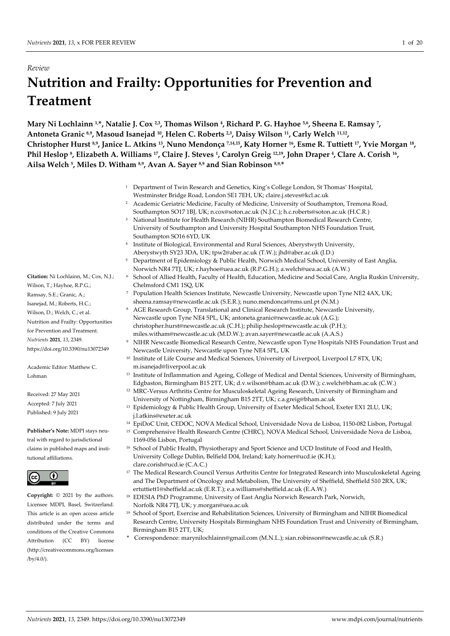# *Review* **Nutrition and Frailty: Opportunities for Prevention and Treatment**

**Mary Ni Lochlainn 1,\*, Natalie J. Cox 2,3, Thomas Wilson 4, Richard P. G. Hayhoe 5,6, Sheena E. Ramsay 7, Antoneta Granic 8,9, Masoud Isanejad 10, Helen C. Roberts 2,3, Daisy Wilson 11, Carly Welch 11,12, Christopher Hurst 8,9, Janice L. Atkins 13, Nuno Mendonça 7,14,15, Katy Horner 16, Esme R. Tuttiett 17, Yvie Morgan 18, Phil Heslop 8, Elizabeth A. Williams 17, Claire J. Steves 1, Carolyn Greig 12,19, John Draper 4, Clare A. Corish 16, Ailsa Welch 5, Miles D. Witham 8,9, Avan A. Sayer 8,9 and Sian Robinson 8,9, \***

- <sup>1</sup> Department of Twin Research and Genetics, King's College London, St Thomas' Hospital, Westminster Bridge Road, London SE1 7EH, UK; [claire.j.steves@kcl.ac.uk](mailto:claire.j.steves@kcl.ac.uk)
- <sup>2</sup> Academic Geriatric Medicine, Faculty of Medicine, University of Southampton, Tremona Road, Southampton SO17 1BJ, UK; n.cox@soton.ac.uk (N.J.C.); h.c.roberts@soton.ac.uk (H.C.R.)
- <sup>3</sup> National Institute for Health Research (NIHR) Southampton Biomedical Research Centre, University of Southampton and University Hospital Southampton NHS Foundation Trust, Southampton SO16 6YD, UK
- <sup>4</sup> Institute of Biological, Environmental and Rural Sciences, Aberystwyth University, Aberystwyth SY23 3DA, UK; tpw2@aber.ac.uk (T.W.); jhd@aber.ac.uk (J.D.)
- <sup>5</sup> Department of Epidemiology & Public Health, Norwich Medical School, University of East Anglia, Norwich NR4 7TJ, UK; r.hayhoe@uea.ac.uk (R.P.G.H.); a.welch@uea.ac.uk (A.W.)
- <sup>6</sup> School of Allied Health, Faculty of Health, Education, Medicine and Social Care, Anglia Ruskin University, Chelmsford CM1 1SQ, UK
- <sup>7</sup> Population Health Sciences Institute, Newcastle University, Newcastle upon Tyne NE2 4AX, UK; sheena.ramsay@newcastle.ac.uk (S.E.R.); nuno.mendonca@nms.unl.pt (N.M.)
- <sup>8</sup> AGE Research Group, Translational and Clinical Research Institute, Newcastle University, Newcastle upon Tyne NE4 5PL, UK; antoneta.granic@newcastle.ac.uk (A.G.); christopher.hurst@newcastle.ac.uk (C.H.); philip.heslop@newcastle.ac.uk (P.H.); miles.witham@newcastle.ac.uk (M.D.W.); avan.sayer@newcastle.ac.uk (A.A.S.)
- <sup>9</sup> NIHR Newcastle Biomedical Research Centre, Newcastle upon Tyne Hospitals NHS Foundation Trust and Newcastle University, Newcastle upon Tyne NE4 5PL, UK
- <sup>10</sup> Institute of Life Course and Medical Sciences, University of Liverpool, Liverpool L7 8TX, UK; m.isanejad@liverpool.ac.uk
- <sup>11</sup> Institute of Inflammation and Ageing, College of Medical and Dental Sciences, University of Birmingham, Edgbaston, Birmingham B15 2TT, UK; d.v.wilson@bham.ac.uk (D.W.); c.welch@bham.ac.uk (C.W.)
- <sup>12</sup> MRC-Versus Arthritis Centre for Musculoskeletal Ageing Research, University of Birmingham and University of Nottingham, Birmingham B15 2TT, UK[; c.a.greig@bham.ac.uk](mailto:c.a.greig@bham.ac.uk)
- <sup>13</sup> Epidemiology & Public Health Group, University of Exeter Medical School, Exeter EX1 2LU, UK; j.l.atkins@exeter.ac.uk
- <sup>14</sup> EpiDoC Unit, CEDOC, NOVA Medical School, Universidade Nova de Lisboa, 1150-082 Lisbon, Portugal
- <sup>15</sup> Comprehensive Health Research Centre (CHRC), NOVA Medical School, Universidade Nova de Lisboa, 1169-056 Lisbon, Portugal
- <sup>16</sup> School of Public Health, Physiotherapy and Sport Science and UCD Institute of Food and Health, University College Dublin, Belfield D04, Ireland; katy.horner@ucd.ie (K.H.); clare.corish@ucd.ie (C.A.C.)
- <sup>17</sup> The Medical Research Council Versus Arthritis Centre for Integrated Research into Musculoskeletal Ageing and The Department of Oncology and Metabolism, The University of Sheffield, Sheffield S10 2RX, UK; ertuttiett1@sheffield.ac.uk (E.R.T.); e.a.williams@sheffield.ac.uk (E.A.W.)
- <sup>18</sup> EDESIA PhD Programme, University of East Anglia Norwich Research Park, Norwich, Norfolk NR4 7TJ, UK; [y.morgan@uea.ac.uk](mailto:y.morgan@uea.ac.uk)
- <sup>19</sup> School of Sport, Exercise and Rehabilitation Sciences, University of Birmingham and NIHR Biomedical Research Centre, University Hospitals Birmingham NHS Foundation Trust and University of Birmingham, Birmingham B15 2TT, UK;
- \* Correspondence: marynilochlainn@gmail.com (M.N.L.); sian.robinson@newcastle.ac.uk (S.R.)

**Citation:** Ni Lochlainn, M.; Cox, N.J.; Wilson, T.; Hayhoe, R.P.G.; Ramsay, S.E.; Granic, A.; Isanejad, M.; Roberts, H.C.; Wilson, D.; Welch, C.; et al. Nutrition and Frailty: Opportunities for Prevention and Treatment. *Nutrients* **2021**, *13*, 2349. https://doi.org/10.3390/nu13072349

Academic Editor: Matthew C. Lohman

Received: 27 May 2021 Accepted: 7 July 2021 Published: 9 July 2021

**Publisher's Note:** MDPI stays neutral with regard to jurisdictional claims in published maps and institutional affiliations.



**Copyright:** © 2021 by the authors. Licensee MDPI, Basel, Switzerland. This article is an open access article distributed under the terms and conditions of the Creative Commons Attribution (CC BY) license (http://creativecommons.org/licenses /by/4.0/).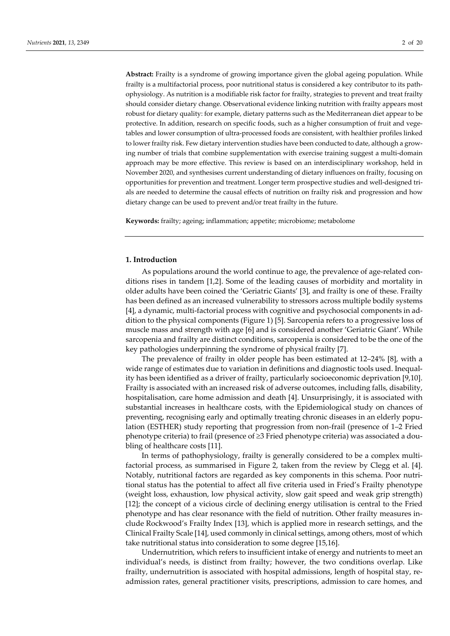**Abstract:** Frailty is a syndrome of growing importance given the global ageing population. While frailty is a multifactorial process, poor nutritional status is considered a key contributor to its pathophysiology. As nutrition is a modifiable risk factor for frailty, strategies to prevent and treat frailty should consider dietary change. Observational evidence linking nutrition with frailty appears most robust for dietary quality: for example, dietary patterns such as the Mediterranean diet appear to be protective. In addition, research on specific foods, such as a higher consumption of fruit and vegetables and lower consumption of ultra-processed foods are consistent, with healthier profiles linked to lower frailty risk. Few dietary intervention studies have been conducted to date, although a growing number of trials that combine supplementation with exercise training suggest a multi-domain approach may be more effective. This review is based on an interdisciplinary workshop, held in November 2020, and synthesises current understanding of dietary influences on frailty, focusing on opportunities for prevention and treatment. Longer term prospective studies and well-designed trials are needed to determine the causal effects of nutrition on frailty risk and progression and how dietary change can be used to prevent and/or treat frailty in the future.

**Keywords:** frailty; ageing; inflammation; appetite; microbiome; metabolome

## **1. Introduction**

As populations around the world continue to age, the prevalence of age-related conditions rises in tandem [1,2]. Some of the leading causes of morbidity and mortality in older adults have been coined the 'Geriatric Giants' [3], and frailty is one of these. Frailty has been defined as an increased vulnerability to stressors across multiple bodily systems [4], a dynamic, multi-factorial process with cognitive and psychosocial components in addition to the physical components (Figure 1) [5]. Sarcopenia refers to a progressive loss of muscle mass and strength with age [6] and is considered another 'Geriatric Giant'. While sarcopenia and frailty are distinct conditions, sarcopenia is considered to be the one of the key pathologies underpinning the syndrome of physical frailty [7].

The prevalence of frailty in older people has been estimated at 12–24% [8], with a wide range of estimates due to variation in definitions and diagnostic tools used. Inequality has been identified as a driver of frailty, particularly socioeconomic deprivation [9,10]. Frailty is associated with an increased risk of adverse outcomes, including falls, disability, hospitalisation, care home admission and death [4]. Unsurprisingly, it is associated with substantial increases in healthcare costs, with the Epidemiological study on chances of preventing, recognising early and optimally treating chronic diseases in an elderly population (ESTHER) study reporting that progression from non-frail (presence of 1–2 Fried phenotype criteria) to frail (presence of  $\geq$ 3 Fried phenotype criteria) was associated a doubling of healthcare costs [11].

In terms of pathophysiology, frailty is generally considered to be a complex multifactorial process, as summarised in Figure 2, taken from the review by Clegg et al. [4]. Notably, nutritional factors are regarded as key components in this schema. Poor nutritional status has the potential to affect all five criteria used in Fried's Frailty phenotype (weight loss, exhaustion, low physical activity, slow gait speed and weak grip strength) [12]; the concept of a vicious circle of declining energy utilisation is central to the Fried phenotype and has clear resonance with the field of nutrition. Other frailty measures include Rockwood's Frailty Index [13], which is applied more in research settings, and the Clinical Frailty Scale [14], used commonly in clinical settings, among others, most of which take nutritional status into consideration to some degree [15,16].

Undernutrition, which refers to insufficient intake of energy and nutrients to meet an individual's needs, is distinct from frailty; however, the two conditions overlap. Like frailty, undernutrition is associated with hospital admissions, length of hospital stay, readmission rates, general practitioner visits, prescriptions, admission to care homes, and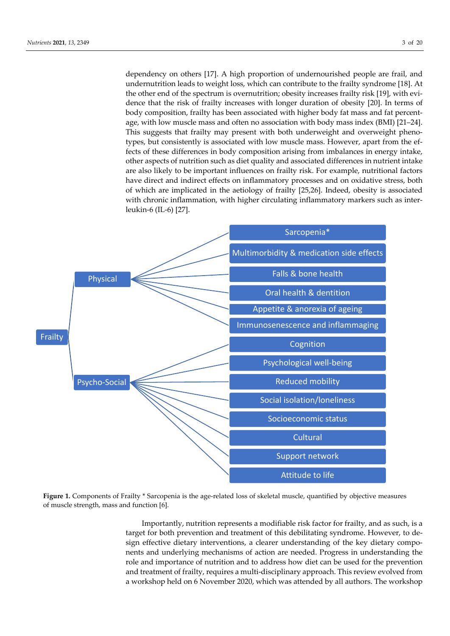dependency on others [17]. A high proportion of undernourished people are frail, and undernutrition leads to weight loss, which can contribute to the frailty syndrome [18]. At the other end of the spectrum is overnutrition; obesity increases frailty risk [19], with evidence that the risk of frailty increases with longer duration of obesity [20]. In terms of body composition, frailty has been associated with higher body fat mass and fat percentage, with low muscle mass and often no association with body mass index (BMI) [21–24]. This suggests that frailty may present with both underweight and overweight phenotypes, but consistently is associated with low muscle mass. However, apart from the effects of these differences in body composition arising from imbalances in energy intake, other aspects of nutrition such as diet quality and associated differences in nutrient intake are also likely to be important influences on frailty risk. For example, nutritional factors have direct and indirect effects on inflammatory processes and on oxidative stress, both of which are implicated in the aetiology of frailty [25,26]. Indeed, obesity is associated with chronic inflammation, with higher circulating inflammatory markers such as interleukin-6 (IL-6) [27].



**Figure 1.** Components of Frailty \* Sarcopenia is the age-related loss of skeletal muscle, quantified by objective measures of muscle strength, mass and function [6].

Importantly, nutrition represents a modifiable risk factor for frailty, and as such, is a target for both prevention and treatment of this debilitating syndrome. However, to design effective dietary interventions, a clearer understanding of the key dietary components and underlying mechanisms of action are needed. Progress in understanding the role and importance of nutrition and to address how diet can be used for the prevention and treatment of frailty, requires a multi-disciplinary approach. This review evolved from a workshop held on 6 November 2020, which was attended by all authors. The workshop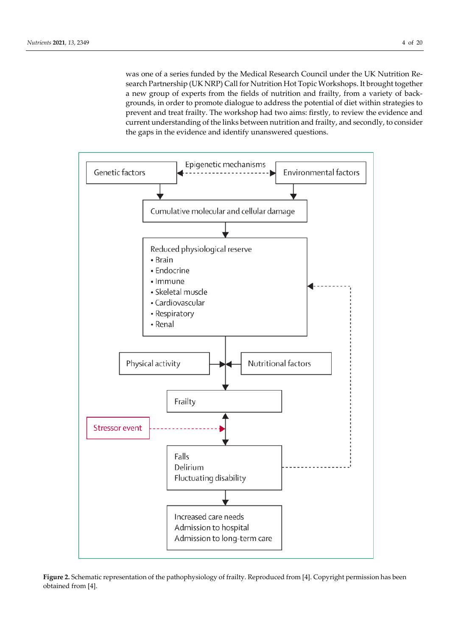was one of a series funded by the Medical Research Council under the UK Nutrition Research Partnership (UK NRP) Call for Nutrition Hot Topic Workshops. It brought together a new group of experts from the fields of nutrition and frailty, from a variety of backgrounds, in order to promote dialogue to address the potential of diet within strategies to prevent and treat frailty. The workshop had two aims: firstly, to review the evidence and current understanding of the links between nutrition and frailty, and secondly, to consider the gaps in the evidence and identify unanswered questions.



**Figure 2.** Schematic representation of the pathophysiology of frailty. Reproduced from [4]. Copyright permission has been obtained from [4].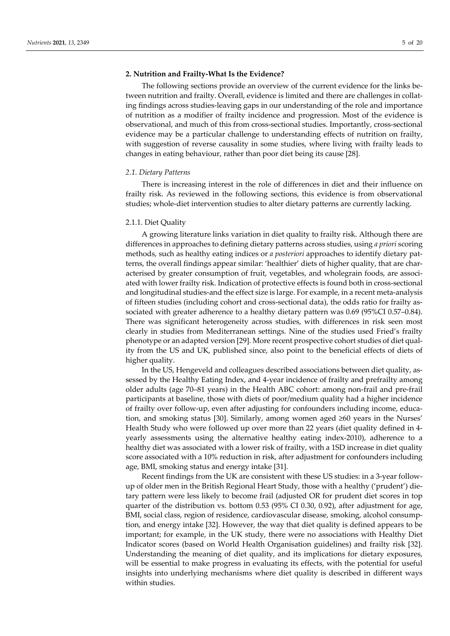#### **2. Nutrition and Frailty-What Is the Evidence?**

The following sections provide an overview of the current evidence for the links between nutrition and frailty. Overall, evidence is limited and there are challenges in collating findings across studies-leaving gaps in our understanding of the role and importance of nutrition as a modifier of frailty incidence and progression. Most of the evidence is observational, and much of this from cross-sectional studies. Importantly, cross-sectional evidence may be a particular challenge to understanding effects of nutrition on frailty, with suggestion of reverse causality in some studies, where living with frailty leads to changes in eating behaviour, rather than poor diet being its cause [28].

#### *2.1. Dietary Patterns*

There is increasing interest in the role of differences in diet and their influence on frailty risk. As reviewed in the following sections, this evidence is from observational studies; whole-diet intervention studies to alter dietary patterns are currently lacking.

#### 2.1.1. Diet Quality

A growing literature links variation in diet quality to frailty risk. Although there are differences in approaches to defining dietary patterns across studies, using *a priori* scoring methods, such as healthy eating indices or *a posteriori* approaches to identify dietary patterns, the overall findings appear similar: 'healthier' diets of higher quality, that are characterised by greater consumption of fruit, vegetables, and wholegrain foods, are associated with lower frailty risk. Indication of protective effects is found both in cross-sectional and longitudinal studies-and the effect size is large. For example, in a recent meta-analysis of fifteen studies (including cohort and cross-sectional data), the odds ratio for frailty associated with greater adherence to a healthy dietary pattern was 0.69 (95%CI 0.57–0.84). There was significant heterogeneity across studies, with differences in risk seen most clearly in studies from Mediterranean settings. Nine of the studies used Fried's frailty phenotype or an adapted version [29]. More recent prospective cohort studies of diet quality from the US and UK, published since, also point to the beneficial effects of diets of higher quality.

In the US, Hengeveld and colleagues described associations between diet quality, assessed by the Healthy Eating Index, and 4-year incidence of frailty and prefrailty among older adults (age 70–81 years) in the Health ABC cohort: among non-frail and pre-frail participants at baseline, those with diets of poor/medium quality had a higher incidence of frailty over follow-up, even after adjusting for confounders including income, education, and smoking status [30]. Similarly, among women aged ≥60 years in the Nurses' Health Study who were followed up over more than 22 years (diet quality defined in 4 yearly assessments using the alternative healthy eating index-2010), adherence to a healthy diet was associated with a lower risk of frailty, with a 1SD increase in diet quality score associated with a 10% reduction in risk, after adjustment for confounders including age, BMI, smoking status and energy intake [31].

Recent findings from the UK are consistent with these US studies: in a 3-year followup of older men in the British Regional Heart Study, those with a healthy ('prudent') dietary pattern were less likely to become frail (adjusted OR for prudent diet scores in top quarter of the distribution vs. bottom 0.53 (95% CI 0.30, 0.92), after adjustment for age, BMI, social class, region of residence, cardiovascular disease, smoking, alcohol consumption, and energy intake [32]. However, the way that diet quality is defined appears to be important; for example, in the UK study, there were no associations with Healthy Diet Indicator scores (based on World Health Organisation guidelines) and frailty risk [32]. Understanding the meaning of diet quality, and its implications for dietary exposures, will be essential to make progress in evaluating its effects, with the potential for useful insights into underlying mechanisms where diet quality is described in different ways within studies.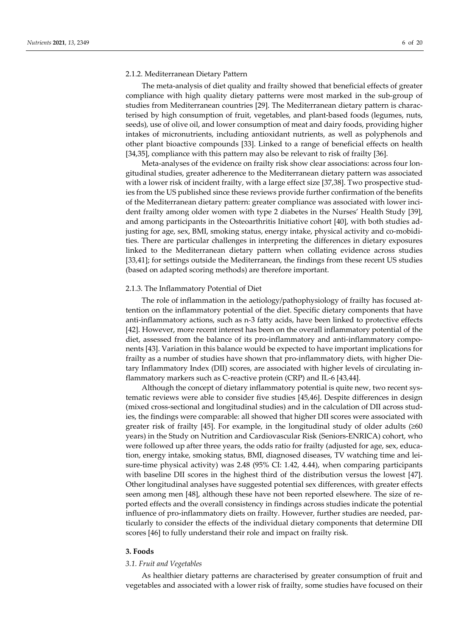#### 2.1.2. Mediterranean Dietary Pattern

The meta-analysis of diet quality and frailty showed that beneficial effects of greater compliance with high quality dietary patterns were most marked in the sub-group of studies from Mediterranean countries [29]. The Mediterranean dietary pattern is characterised by high consumption of fruit, vegetables, and plant-based foods (legumes, nuts, seeds), use of olive oil, and lower consumption of meat and dairy foods, providing higher intakes of micronutrients, including antioxidant nutrients, as well as polyphenols and other plant bioactive compounds [33]. Linked to a range of beneficial effects on health [34,35], compliance with this pattern may also be relevant to risk of frailty [36].

Meta-analyses of the evidence on frailty risk show clear associations: across four longitudinal studies, greater adherence to the Mediterranean dietary pattern was associated with a lower risk of incident frailty, with a large effect size [37,38]. Two prospective studies from the US published since these reviews provide further confirmation of the benefits of the Mediterranean dietary pattern: greater compliance was associated with lower incident frailty among older women with type 2 diabetes in the Nurses' Health Study [39], and among participants in the Osteoarthritis Initiative cohort [40], with both studies adjusting for age, sex, BMI, smoking status, energy intake, physical activity and co-mobidities. There are particular challenges in interpreting the differences in dietary exposures linked to the Mediterranean dietary pattern when collating evidence across studies [33,41]; for settings outside the Mediterranean, the findings from these recent US studies (based on adapted scoring methods) are therefore important.

# 2.1.3. The Inflammatory Potential of Diet

The role of inflammation in the aetiology/pathophysiology of frailty has focused attention on the inflammatory potential of the diet. Specific dietary components that have anti-inflammatory actions, such as n-3 fatty acids, have been linked to protective effects [42]. However, more recent interest has been on the overall inflammatory potential of the diet, assessed from the balance of its pro-inflammatory and anti-inflammatory components [43]. Variation in this balance would be expected to have important implications for frailty as a number of studies have shown that pro-inflammatory diets, with higher Dietary Inflammatory Index (DII) scores, are associated with higher levels of circulating inflammatory markers such as C-reactive protein (CRP) and IL-6 [43,44].

Although the concept of dietary inflammatory potential is quite new, two recent systematic reviews were able to consider five studies [45,46]. Despite differences in design (mixed cross-sectional and longitudinal studies) and in the calculation of DII across studies, the findings were comparable: all showed that higher DII scores were associated with greater risk of frailty [45]. For example, in the longitudinal study of older adults  $(\geq 60$ years) in the Study on Nutrition and Cardiovascular Risk (Seniors-ENRICA) cohort, who were followed up after three years, the odds ratio for frailty (adjusted for age, sex, education, energy intake, smoking status, BMI, diagnosed diseases, TV watching time and leisure-time physical activity) was 2.48 (95% CI: 1.42, 4.44), when comparing participants with baseline DII scores in the highest third of the distribution versus the lowest [47]. Other longitudinal analyses have suggested potential sex differences, with greater effects seen among men [48], although these have not been reported elsewhere. The size of reported effects and the overall consistency in findings across studies indicate the potential influence of pro-inflammatory diets on frailty. However, further studies are needed, particularly to consider the effects of the individual dietary components that determine DII scores [46] to fully understand their role and impact on frailty risk.

# **3. Foods**

#### *3.1. Fruit and Vegetables*

As healthier dietary patterns are characterised by greater consumption of fruit and vegetables and associated with a lower risk of frailty, some studies have focused on their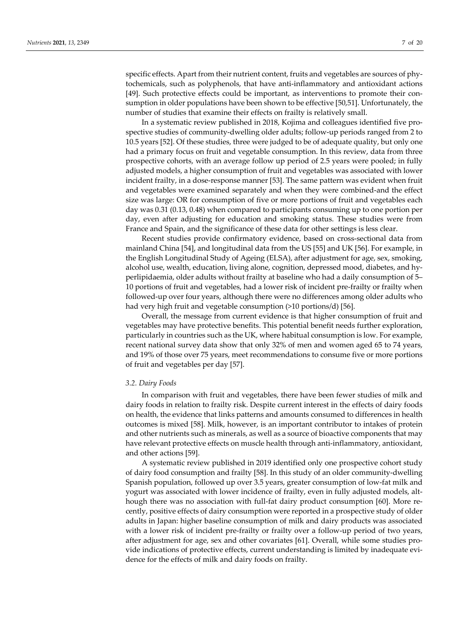specific effects. Apart from their nutrient content, fruits and vegetables are sources of phytochemicals, such as polyphenols, that have anti-inflammatory and antioxidant actions [49]. Such protective effects could be important, as interventions to promote their consumption in older populations have been shown to be effective [50,51]. Unfortunately, the number of studies that examine their effects on frailty is relatively small.

In a systematic review published in 2018, Kojima and colleagues identified five prospective studies of community-dwelling older adults; follow-up periods ranged from 2 to 10.5 years [52]. Of these studies, three were judged to be of adequate quality, but only one had a primary focus on fruit and vegetable consumption. In this review, data from three prospective cohorts, with an average follow up period of 2.5 years were pooled; in fully adjusted models, a higher consumption of fruit and vegetables was associated with lower incident frailty, in a dose-response manner [53]. The same pattern was evident when fruit and vegetables were examined separately and when they were combined-and the effect size was large: OR for consumption of five or more portions of fruit and vegetables each day was 0.31 (0.13, 0.48) when compared to participants consuming up to one portion per day, even after adjusting for education and smoking status. These studies were from France and Spain, and the significance of these data for other settings is less clear.

Recent studies provide confirmatory evidence, based on cross-sectional data from mainland China [54], and longitudinal data from the US [55] and UK [56]. For example, in the English Longitudinal Study of Ageing (ELSA), after adjustment for age, sex, smoking, alcohol use, wealth, education, living alone, cognition, depressed mood, diabetes, and hyperlipidaemia, older adults without frailty at baseline who had a daily consumption of 5– 10 portions of fruit and vegetables, had a lower risk of incident pre-frailty or frailty when followed-up over four years, although there were no differences among older adults who had very high fruit and vegetable consumption (>10 portions/d) [56].

Overall, the message from current evidence is that higher consumption of fruit and vegetables may have protective benefits. This potential benefit needs further exploration, particularly in countries such as the UK, where habitual consumption is low. For example, recent national survey data show that only 32% of men and women aged 65 to 74 years, and 19% of those over 75 years, meet recommendations to consume five or more portions of fruit and vegetables per day [57].

#### *3.2. Dairy Foods*

In comparison with fruit and vegetables, there have been fewer studies of milk and dairy foods in relation to frailty risk. Despite current interest in the effects of dairy foods on health, the evidence that links patterns and amounts consumed to differences in health outcomes is mixed [58]. Milk, however, is an important contributor to intakes of protein and other nutrients such as minerals, as well as a source of bioactive components that may have relevant protective effects on muscle health through anti-inflammatory, antioxidant, and other actions [59].

A systematic review published in 2019 identified only one prospective cohort study of dairy food consumption and frailty [58]. In this study of an older community-dwelling Spanish population, followed up over 3.5 years, greater consumption of low-fat milk and yogurt was associated with lower incidence of frailty, even in fully adjusted models, although there was no association with full-fat dairy product consumption [60]. More recently, positive effects of dairy consumption were reported in a prospective study of older adults in Japan: higher baseline consumption of milk and dairy products was associated with a lower risk of incident pre-frailty or frailty over a follow-up period of two years, after adjustment for age, sex and other covariates [61]. Overall, while some studies provide indications of protective effects, current understanding is limited by inadequate evidence for the effects of milk and dairy foods on frailty.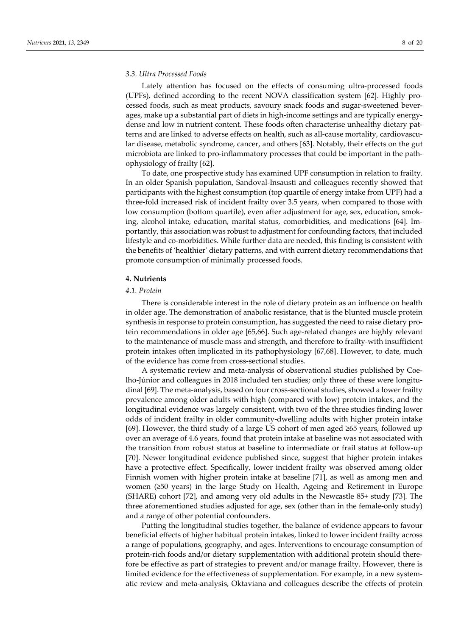#### *3.3. Ultra Processed Foods*

Lately attention has focused on the effects of consuming ultra-processed foods (UPFs), defined according to the recent NOVA classification system [62]. Highly processed foods, such as meat products, savoury snack foods and sugar-sweetened beverages, make up a substantial part of diets in high-income settings and are typically energydense and low in nutrient content. These foods often characterise unhealthy dietary patterns and are linked to adverse effects on health, such as all-cause mortality, cardiovascular disease, metabolic syndrome, cancer, and others [63]. Notably, their effects on the gut microbiota are linked to pro-inflammatory processes that could be important in the pathophysiology of frailty [62].

To date, one prospective study has examined UPF consumption in relation to frailty. In an older Spanish population, Sandoval-Insausti and colleagues recently showed that participants with the highest consumption (top quartile of energy intake from UPF) had a three-fold increased risk of incident frailty over 3.5 years, when compared to those with low consumption (bottom quartile), even after adjustment for age, sex, education, smoking, alcohol intake, education, marital status, comorbidities, and medications [64]. Importantly, this association was robust to adjustment for confounding factors, that included lifestyle and co-morbidities. While further data are needed, this finding is consistent with the benefits of 'healthier' dietary patterns, and with current dietary recommendations that promote consumption of minimally processed foods.

#### **4. Nutrients**

# *4.1. Protein*

There is considerable interest in the role of dietary protein as an influence on health in older age. The demonstration of anabolic resistance, that is the blunted muscle protein synthesis in response to protein consumption, has suggested the need to raise dietary protein recommendations in older age [65,66]. Such age-related changes are highly relevant to the maintenance of muscle mass and strength, and therefore to frailty-with insufficient protein intakes often implicated in its pathophysiology [67,68]. However, to date, much of the evidence has come from cross-sectional studies.

A systematic review and meta-analysis of observational studies published by Coelho-Júnior and colleagues in 2018 included ten studies; only three of these were longitudinal [69]. The meta-analysis, based on four cross-sectional studies, showed a lower frailty prevalence among older adults with high (compared with low) protein intakes, and the longitudinal evidence was largely consistent, with two of the three studies finding lower odds of incident frailty in older community-dwelling adults with higher protein intake [69]. However, the third study of a large US cohort of men aged ≥65 years, followed up over an average of 4.6 years, found that protein intake at baseline was not associated with the transition from robust status at baseline to intermediate or frail status at follow-up [70]. Newer longitudinal evidence published since, suggest that higher protein intakes have a protective effect. Specifically, lower incident frailty was observed among older Finnish women with higher protein intake at baseline [71], as well as among men and women (≥50 years) in the large Study on Health, Ageing and Retirement in Europe (SHARE) cohort [72], and among very old adults in the Newcastle 85+ study [73]. The three aforementioned studies adjusted for age, sex (other than in the female-only study) and a range of other potential confounders.

Putting the longitudinal studies together, the balance of evidence appears to favour beneficial effects of higher habitual protein intakes, linked to lower incident frailty across a range of populations, geography, and ages. Interventions to encourage consumption of protein-rich foods and/or dietary supplementation with additional protein should therefore be effective as part of strategies to prevent and/or manage frailty. However, there is limited evidence for the effectiveness of supplementation. For example, in a new systematic review and meta-analysis, Oktaviana and colleagues describe the effects of protein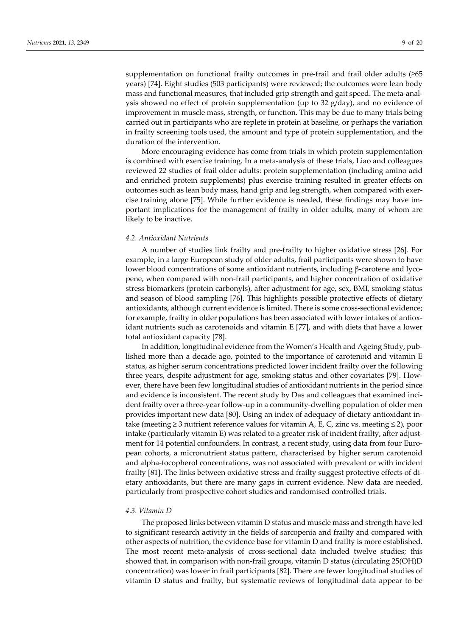supplementation on functional frailty outcomes in pre-frail and frail older adults (≥65 years) [74]. Eight studies (503 participants) were reviewed; the outcomes were lean body mass and functional measures, that included grip strength and gait speed. The meta-analysis showed no effect of protein supplementation (up to 32 g/day), and no evidence of improvement in muscle mass, strength, or function. This may be due to many trials being carried out in participants who are replete in protein at baseline, or perhaps the variation in frailty screening tools used, the amount and type of protein supplementation, and the duration of the intervention.

More encouraging evidence has come from trials in which protein supplementation is combined with exercise training. In a meta-analysis of these trials, Liao and colleagues reviewed 22 studies of frail older adults: protein supplementation (including amino acid and enriched protein supplements) plus exercise training resulted in greater effects on outcomes such as lean body mass, hand grip and leg strength, when compared with exercise training alone [75]. While further evidence is needed, these findings may have important implications for the management of frailty in older adults, many of whom are likely to be inactive.

# *4.2. Antioxidant Nutrients*

A number of studies link frailty and pre-frailty to higher oxidative stress [26]. For example, in a large European study of older adults, frail participants were shown to have lower blood concentrations of some antioxidant nutrients, including β-carotene and lycopene, when compared with non-frail participants, and higher concentration of oxidative stress biomarkers (protein carbonyls), after adjustment for age, sex, BMI, smoking status and season of blood sampling [76]. This highlights possible protective effects of dietary antioxidants, although current evidence is limited. There is some cross-sectional evidence; for example, frailty in older populations has been associated with lower intakes of antioxidant nutrients such as carotenoids and vitamin E [77], and with diets that have a lower total antioxidant capacity [78].

In addition, longitudinal evidence from the Women's Health and Ageing Study, published more than a decade ago, pointed to the importance of carotenoid and vitamin E status, as higher serum concentrations predicted lower incident frailty over the following three years, despite adjustment for age, smoking status and other covariates [79]. However, there have been few longitudinal studies of antioxidant nutrients in the period since and evidence is inconsistent. The recent study by Das and colleagues that examined incident frailty over a three-year follow-up in a community-dwelling population of older men provides important new data [80]. Using an index of adequacy of dietary antioxidant intake (meeting  $\geq$  3 nutrient reference values for vitamin A, E, C, zinc vs. meeting  $\leq$  2), poor intake (particularly vitamin E) was related to a greater risk of incident frailty, after adjustment for 14 potential confounders. In contrast, a recent study, using data from four European cohorts, a micronutrient status pattern, characterised by higher serum carotenoid and alpha-tocopherol concentrations, was not associated with prevalent or with incident frailty [81]. The links between oxidative stress and frailty suggest protective effects of dietary antioxidants, but there are many gaps in current evidence. New data are needed, particularly from prospective cohort studies and randomised controlled trials.

# *4.3. Vitamin D*

The proposed links between vitamin D status and muscle mass and strength have led to significant research activity in the fields of sarcopenia and frailty and compared with other aspects of nutrition, the evidence base for vitamin D and frailty is more established. The most recent meta-analysis of cross-sectional data included twelve studies; this showed that, in comparison with non-frail groups, vitamin D status (circulating 25(OH)D concentration) was lower in frail participants [82]. There are fewer longitudinal studies of vitamin D status and frailty, but systematic reviews of longitudinal data appear to be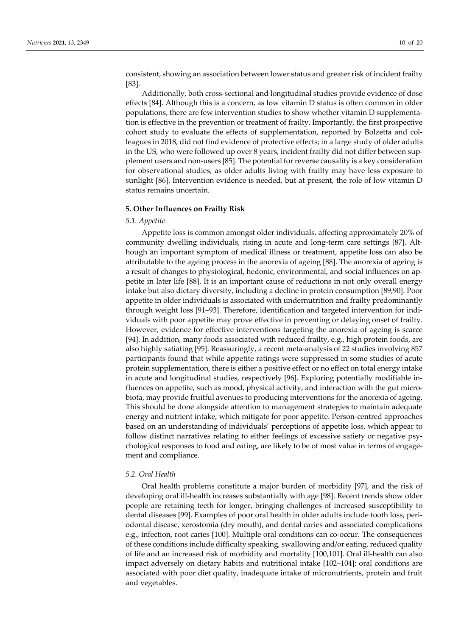consistent, showing an association between lower status and greater risk of incident frailty [83].

Additionally, both cross-sectional and longitudinal studies provide evidence of dose effects [84]. Although this is a concern, as low vitamin D status is often common in older populations, there are few intervention studies to show whether vitamin D supplementation is effective in the prevention or treatment of frailty. Importantly, the first prospective cohort study to evaluate the effects of supplementation, reported by Bolzetta and colleagues in 2018, did not find evidence of protective effects; in a large study of older adults in the US, who were followed up over 8 years, incident frailty did not differ between supplement users and non-users [85]. The potential for reverse causality is a key consideration for observational studies, as older adults living with frailty may have less exposure to sunlight [86]. Intervention evidence is needed, but at present, the role of low vitamin D status remains uncertain.

#### **5. Other Influences on Frailty Risk**

#### *5.1. Appetite*

Appetite loss is common amongst older individuals, affecting approximately 20% of community dwelling individuals, rising in acute and long-term care settings [87]. Although an important symptom of medical illness or treatment, appetite loss can also be attributable to the ageing process in the anorexia of ageing [88]. The anorexia of ageing is a result of changes to physiological, hedonic, environmental, and social influences on appetite in later life [88]. It is an important cause of reductions in not only overall energy intake but also dietary diversity, including a decline in protein consumption [89,90]. Poor appetite in older individuals is associated with undernutrition and frailty predominantly through weight loss [91–93]. Therefore, identification and targeted intervention for individuals with poor appetite may prove effective in preventing or delaying onset of frailty. However, evidence for effective interventions targeting the anorexia of ageing is scarce [94]. In addition, many foods associated with reduced frailty, e.g., high protein foods, are also highly satiating [95]. Reassuringly, a recent meta-analysis of 22 studies involving 857 participants found that while appetite ratings were suppressed in some studies of acute protein supplementation, there is either a positive effect or no effect on total energy intake in acute and longitudinal studies, respectively [96]. Exploring potentially modifiable influences on appetite, such as mood, physical activity, and interaction with the gut microbiota, may provide fruitful avenues to producing interventions for the anorexia of ageing. This should be done alongside attention to management strategies to maintain adequate energy and nutrient intake, which mitigate for poor appetite. Person-centred approaches based on an understanding of individuals' perceptions of appetite loss, which appear to follow distinct narratives relating to either feelings of excessive satiety or negative psychological responses to food and eating, are likely to be of most value in terms of engagement and compliance.

#### *5.2. Oral Health*

Oral health problems constitute a major burden of morbidity [97], and the risk of developing oral ill-health increases substantially with age [98]. Recent trends show older people are retaining teeth for longer, bringing challenges of increased susceptibility to dental diseases [99]. Examples of poor oral health in older adults include tooth loss, periodontal disease, xerostomia (dry mouth), and dental caries and associated complications e.g., infection, root caries [100]. Multiple oral conditions can co-occur. The consequences of these conditions include difficulty speaking, swallowing and/or eating, reduced quality of life and an increased risk of morbidity and mortality [100,101]. Oral ill-health can also impact adversely on dietary habits and nutritional intake [102–104]; oral conditions are associated with poor diet quality, inadequate intake of micronutrients, protein and fruit and vegetables.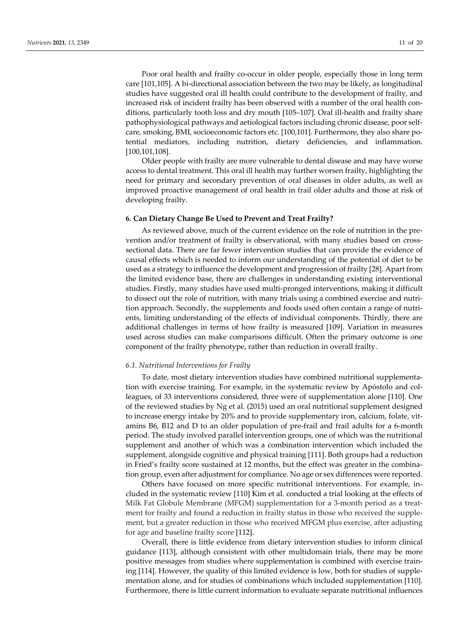Poor oral health and frailty co-occur in older people, especially those in long term care [101,105]. A bi-directional association between the two may be likely, as longitudinal studies have suggested oral ill health could contribute to the development of frailty, and increased risk of incident frailty has been observed with a number of the oral health conditions, particularly tooth loss and dry mouth [105–107]. Oral ill-health and frailty share pathophysiological pathways and aetiological factors including chronic disease, poor selfcare, smoking, BMI, socioeconomic factors etc. [100,101]. Furthermore, they also share potential mediators, including nutrition, dietary deficiencies, and inflammation. [100,101,108].

Older people with frailty are more vulnerable to dental disease and may have worse access to dental treatment. This oral ill health may further worsen frailty, highlighting the need for primary and secondary prevention of oral diseases in older adults, as well as improved proactive management of oral health in frail older adults and those at risk of developing frailty.

# **6. Can Dietary Change Be Used to Prevent and Treat Frailty?**

As reviewed above, much of the current evidence on the role of nutrition in the prevention and/or treatment of frailty is observational, with many studies based on crosssectional data. There are far fewer intervention studies that can provide the evidence of causal effects which is needed to inform our understanding of the potential of diet to be used as a strategy to influence the development and progression of frailty [28]. Apart from the limited evidence base, there are challenges in understanding existing interventional studies. Firstly, many studies have used multi-pronged interventions, making it difficult to dissect out the role of nutrition, with many trials using a combined exercise and nutrition approach. Secondly, the supplements and foods used often contain a range of nutrients, limiting understanding of the effects of individual components. Thirdly, there are additional challenges in terms of how frailty is measured [109]. Variation in measures used across studies can make comparisons difficult. Often the primary outcome is one component of the frailty phenotype, rather than reduction in overall frailty.

#### *6.1. Nutritional Interventions for Frailty*

To date, most dietary intervention studies have combined nutritional supplementation with exercise training. For example, in the systematic review by Apóstolo and colleagues, of 33 interventions considered, three were of supplementation alone [110]. One of the reviewed studies by Ng et al. (2015) used an oral nutritional supplement designed to increase energy intake by 20% and to provide supplementary iron, calcium, folate, vitamins B6, B12 and D to an older population of pre-frail and frail adults for a 6-month period. The study involved parallel intervention groups, one of which was the nutritional supplement and another of which was a combination intervention which included the supplement, alongside cognitive and physical training [111]. Both groups had a reduction in Fried's frailty score sustained at 12 months, but the effect was greater in the combination group, even after adjustment for compliance. No age or sex differences were reported.

Others have focused on more specific nutritional interventions. For example, included in the systematic review [110] Kim et al. conducted a trial looking at the effects of Milk Fat Globule Membrane (MFGM) supplementation for a 3-month period as a treatment for frailty and found a reduction in frailty status in those who received the supplement, but a greater reduction in those who received MFGM plus exercise, after adjusting for age and baseline frailty score [112].

Overall, there is little evidence from dietary intervention studies to inform clinical guidance [113], although consistent with other multidomain trials, there may be more positive messages from studies where supplementation is combined with exercise training [114]. However, the quality of this limited evidence is low, both for studies of supplementation alone, and for studies of combinations which included supplementation [110]. Furthermore, there is little current information to evaluate separate nutritional influences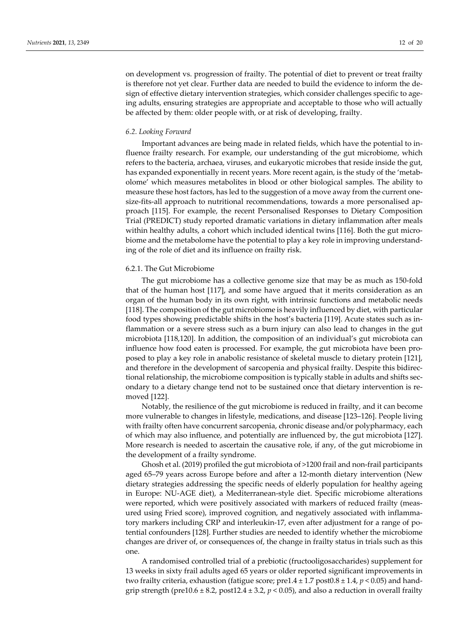on development vs. progression of frailty. The potential of diet to prevent or treat frailty is therefore not yet clear. Further data are needed to build the evidence to inform the design of effective dietary intervention strategies, which consider challenges specific to ageing adults, ensuring strategies are appropriate and acceptable to those who will actually be affected by them: older people with, or at risk of developing, frailty.

# *6.2. Looking Forward*

Important advances are being made in related fields, which have the potential to influence frailty research. For example, our understanding of the gut microbiome, which refers to the bacteria, archaea, viruses, and eukaryotic microbes that reside inside the gut, has expanded exponentially in recent years. More recent again, is the study of the 'metabolome' which measures metabolites in blood or other biological samples. The ability to measure these host factors, has led to the suggestion of a move away from the current onesize-fits-all approach to nutritional recommendations, towards a more personalised approach [115]. For example, the recent Personalised Responses to Dietary Composition Trial (PREDICT) study reported dramatic variations in dietary inflammation after meals within healthy adults, a cohort which included identical twins [116]. Both the gut microbiome and the metabolome have the potential to play a key role in improving understanding of the role of diet and its influence on frailty risk.

# 6.2.1. The Gut Microbiome

The gut microbiome has a collective genome size that may be as much as 150-fold that of the human host [117], and some have argued that it merits consideration as an organ of the human body in its own right, with intrinsic functions and metabolic needs [118]. The composition of the gut microbiome is heavily influenced by diet, with particular food types showing predictable shifts in the host's bacteria [119]. Acute states such as inflammation or a severe stress such as a burn injury can also lead to changes in the gut microbiota [118,120]. In addition, the composition of an individual's gut microbiota can influence how food eaten is processed. For example, the gut microbiota have been proposed to play a key role in anabolic resistance of skeletal muscle to dietary protein [121], and therefore in the development of sarcopenia and physical frailty. Despite this bidirectional relationship, the microbiome composition is typically stable in adults and shifts secondary to a dietary change tend not to be sustained once that dietary intervention is removed [122].

Notably, the resilience of the gut microbiome is reduced in frailty, and it can become more vulnerable to changes in lifestyle, medications, and disease [123–126]. People living with frailty often have concurrent sarcopenia, chronic disease and/or polypharmacy, each of which may also influence, and potentially are influenced by, the gut microbiota [127]. More research is needed to ascertain the causative role, if any, of the gut microbiome in the development of a frailty syndrome.

Ghosh et al. (2019) profiled the gut microbiota of >1200 frail and non-frail participants aged 65–79 years across Europe before and after a 12-month dietary intervention (New dietary strategies addressing the specific needs of elderly population for healthy ageing in Europe: NU-AGE diet), a Mediterranean-style diet. Specific microbiome alterations were reported, which were positively associated with markers of reduced frailty (measured using Fried score), improved cognition, and negatively associated with inflammatory markers including CRP and interleukin-17, even after adjustment for a range of potential confounders [128]. Further studies are needed to identify whether the microbiome changes are driver of, or consequences of, the change in frailty status in trials such as this one.

A randomised controlled trial of a prebiotic (fructooligosaccharides) supplement for 13 weeks in sixty frail adults aged 65 years or older reported significant improvements in two frailty criteria, exhaustion (fatigue score;  $pred.4 \pm 1.7$  post $0.8 \pm 1.4$ ,  $p < 0.05$ ) and handgrip strength (pre10.6  $\pm$  8.2, post12.4  $\pm$  3.2,  $p$  < 0.05), and also a reduction in overall frailty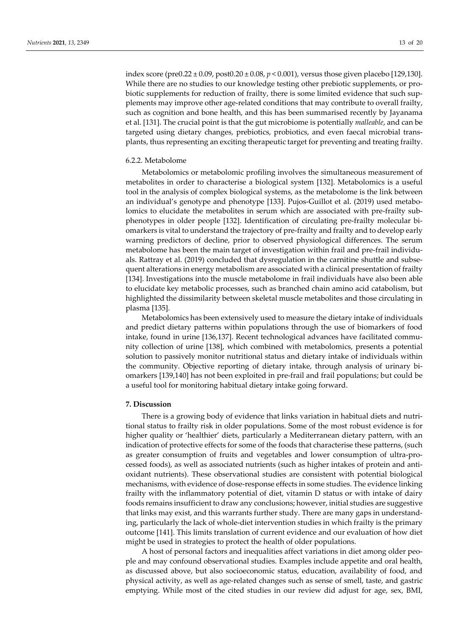index score (pre0.22 ± 0.09, post0.20 ± 0.08, *p* < 0.001), versus those given placebo [129,130]. While there are no studies to our knowledge testing other prebiotic supplements, or probiotic supplements for reduction of frailty, there is some limited evidence that such supplements may improve other age-related conditions that may contribute to overall frailty, such as cognition and bone health, and this has been summarised recently by Jayanama et al. [131]. The crucial point is that the gut microbiome is potentially *malleable*, and can be targeted using dietary changes, prebiotics, probiotics, and even faecal microbial transplants, thus representing an exciting therapeutic target for preventing and treating frailty.

# 6.2.2. Metabolome

Metabolomics or metabolomic profiling involves the simultaneous measurement of metabolites in order to characterise a biological system [132]. Metabolomics is a useful tool in the analysis of complex biological systems, as the metabolome is the link between an individual's genotype and phenotype [133]. Pujos-Guillot et al. (2019) used metabolomics to elucidate the metabolites in serum which are associated with pre-frailty subphenotypes in older people [132]. Identification of circulating pre-frailty molecular biomarkers is vital to understand the trajectory of pre-frailty and frailty and to develop early warning predictors of decline, prior to observed physiological differences. The serum metabolome has been the main target of investigation within frail and pre-frail individuals. Rattray et al. (2019) concluded that dysregulation in the carnitine shuttle and subsequent alterations in energy metabolism are associated with a clinical presentation of frailty [134]. Investigations into the muscle metabolome in frail individuals have also been able to elucidate key metabolic processes, such as branched chain amino acid catabolism, but highlighted the dissimilarity between skeletal muscle metabolites and those circulating in plasma [135].

Metabolomics has been extensively used to measure the dietary intake of individuals and predict dietary patterns within populations through the use of biomarkers of food intake, found in urine [136,137]. Recent technological advances have facilitated community collection of urine [138], which combined with metabolomics, presents a potential solution to passively monitor nutritional status and dietary intake of individuals within the community. Objective reporting of dietary intake, through analysis of urinary biomarkers [139,140] has not been exploited in pre-frail and frail populations; but could be a useful tool for monitoring habitual dietary intake going forward.

## **7. Discussion**

There is a growing body of evidence that links variation in habitual diets and nutritional status to frailty risk in older populations. Some of the most robust evidence is for higher quality or 'healthier' diets, particularly a Mediterranean dietary pattern, with an indication of protective effects for some of the foods that characterise these patterns, (such as greater consumption of fruits and vegetables and lower consumption of ultra-processed foods), as well as associated nutrients (such as higher intakes of protein and antioxidant nutrients). These observational studies are consistent with potential biological mechanisms, with evidence of dose-response effects in some studies. The evidence linking frailty with the inflammatory potential of diet, vitamin D status or with intake of dairy foods remains insufficient to draw any conclusions; however, initial studies are suggestive that links may exist, and this warrants further study. There are many gaps in understanding, particularly the lack of whole-diet intervention studies in which frailty is the primary outcome [141]. This limits translation of current evidence and our evaluation of how diet might be used in strategies to protect the health of older populations.

A host of personal factors and inequalities affect variations in diet among older people and may confound observational studies. Examples include appetite and oral health, as discussed above, but also socioeconomic status, education, availability of food, and physical activity, as well as age-related changes such as sense of smell, taste, and gastric emptying. While most of the cited studies in our review did adjust for age, sex, BMI,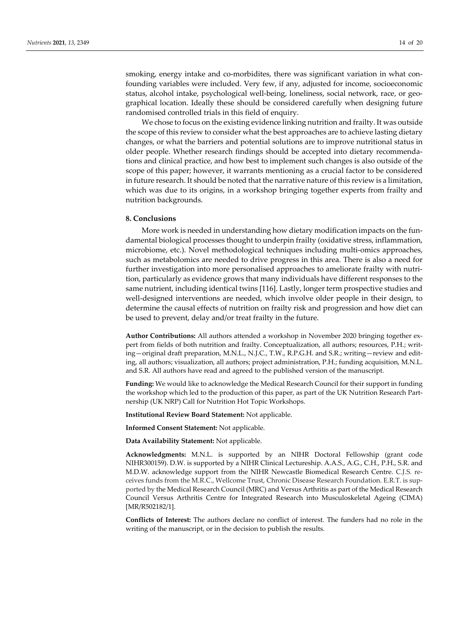smoking, energy intake and co-morbidites, there was significant variation in what confounding variables were included. Very few, if any, adjusted for income, socioeconomic status, alcohol intake, psychological well-being, loneliness, social network, race, or geographical location. Ideally these should be considered carefully when designing future randomised controlled trials in this field of enquiry.

We chose to focus on the existing evidence linking nutrition and frailty. It was outside the scope of this review to consider what the best approaches are to achieve lasting dietary changes, or what the barriers and potential solutions are to improve nutritional status in older people. Whether research findings should be accepted into dietary recommendations and clinical practice, and how best to implement such changes is also outside of the scope of this paper; however, it warrants mentioning as a crucial factor to be considered in future research. It should be noted that the narrative nature of this review is a limitation, which was due to its origins, in a workshop bringing together experts from frailty and nutrition backgrounds.

# **8. Conclusions**

More work is needed in understanding how dietary modification impacts on the fundamental biological processes thought to underpin frailty (oxidative stress, inflammation, microbiome, etc.). Novel methodological techniques including multi-omics approaches, such as metabolomics are needed to drive progress in this area. There is also a need for further investigation into more personalised approaches to ameliorate frailty with nutrition, particularly as evidence grows that many individuals have different responses to the same nutrient, including identical twins [116]. Lastly, longer term prospective studies and well-designed interventions are needed, which involve older people in their design, to determine the causal effects of nutrition on frailty risk and progression and how diet can be used to prevent, delay and/or treat frailty in the future.

**Author Contributions:** All authors attended a workshop in November 2020 bringing together expert from fields of both nutrition and frailty. Conceptualization, all authors; resources, P.H.; writing—original draft preparation, M.N.L., N.J.C., T.W., R.P.G.H. and S.R.; writing—review and editing, all authors; visualization, all authors; project administration, P.H.; funding acquisition, M.N.L. and S.R. All authors have read and agreed to the published version of the manuscript.

**Funding:** We would like to acknowledge the Medical Research Council for their support in funding the workshop which led to the production of this paper, as part of the UK Nutrition Research Partnership (UK NRP) Call for Nutrition Hot Topic Workshops.

**Institutional Review Board Statement:** Not applicable.

**Informed Consent Statement:** Not applicable.

**Data Availability Statement:** Not applicable.

**Acknowledgments:** M.N.L. is supported by an NIHR Doctoral Fellowship (grant code NIHR300159). D.W. is supported by a NIHR Clinical Lectureship. A.A.S., A.G., C.H., P.H., S.R. and M.D.W. acknowledge support from the NIHR Newcastle Biomedical Research Centre. C.J.S. receives funds from the M.R.C., Wellcome Trust, Chronic Disease Research Foundation. E.R.T. is supported by the Medical Research Council (MRC) and Versus Arthritis as part of the Medical Research Council Versus Arthritis Centre for Integrated Research into Musculoskeletal Ageing (CIMA) [MR/R502182/1].

**Conflicts of Interest:** The authors declare no conflict of interest. The funders had no role in the writing of the manuscript, or in the decision to publish the results.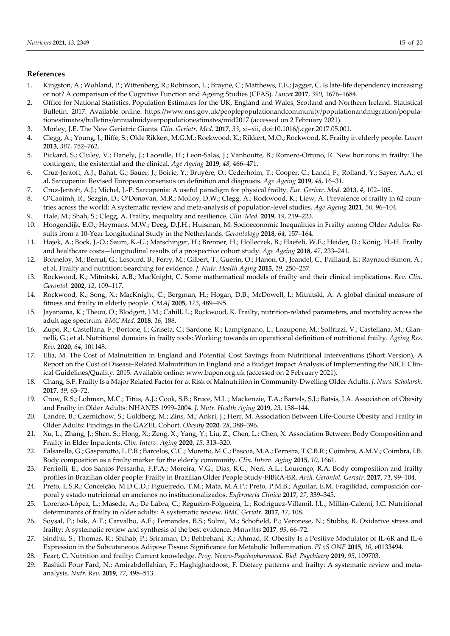# **References**

- 1. Kingston, A.; Wohland, P.; Wittenberg, R.; Robinson, L.; Brayne, C.; Matthews, F.E.; Jagger, C. Is late-life dependency increasing or not? A comparison of the Cognitive Function and Ageing Studies (CFAS). *Lancet* **2017**, *390*, 1676–1684.
- 2. Office for National Statistics. Population Estimates for the UK, England and Wales, Scotland and Northern Ireland. Statistical Bulletin. 2017. Available online: https://www.ons.gov.uk/peoplepopulationandcommunity/populationandmigration/populationestimates/bulletins/annualmidyearpopulationestimates/mid2017 (accessed on 2 February 2021).
- 3. Morley, J.E. The New Geriatric Giants. *Clin. Geriatr. Med.* **2017**, *33*, xi–xii, doi:10.1016/j.cger.2017.05.001.
- 4. Clegg, A.; Young, J.; Iliffe, S.; Olde Rikkert, M.G.M.; Rockwood, K.; Rikkert, M.O.; Rockwood, K. Frailty in elderly people. *Lancet* **2013**, *381*, 752–762.
- 5. Pickard, S.; Cluley, V.; Danely, J.; Laceulle, H.; Leon-Salas, J.; Vanhoutte, B.; Romero-Ortuno, R. New horizons in frailty: The contingent, the existential and the clinical. *Age Ageing* **2019**, *48*, 466–471.
- 6. Cruz-Jentoft, A.J.; Bahat, G.; Bauer, J.; Boirie, Y.; Bruyère, O.; Cederholm, T.; Cooper, C.; Landi, F.; Rolland, Y.; Sayer, A.A.; et al. Sarcopenia: Revised European consensus on definition and diagnosis. *Age Ageing* **2019**, *48*, 16–31.
- 7. Cruz-Jentoft, A.J.; Michel, J.-P. Sarcopenia: A useful paradigm for physical frailty. *Eur. Geriatr. Med.* **2013**, *4*, 102–105.
- 8. O'Caoimh, R.; Sezgin, D.; O'Donovan, M.R.; Molloy, D.W.; Clegg, A.; Rockwood, K.; Liew, A. Prevalence of frailty in 62 countries across the world: A systematic review and meta-analysis of population-level studies. *Age Ageing* **2021**, *50*, 96–104.
- 9. Hale, M.; Shah, S.; Clegg, A. Frailty, inequality and resilience. *Clin. Med.* **2019**, *19*, 219–223.
- 10. Hoogendijk, E.O.; Heymans, M.W.; Deeg, D.J.H.; Huisman, M. Socioeconomic Inequalities in Frailty among Older Adults: Results from a 10-Year Longitudinal Study in the Netherlands. *Gerontology* **2018**, *64*, 157–164.
- 11. Hajek, A.; Bock, J.-O.; Saum, K.-U.; Matschinger, H.; Brenner, H.; Holleczek, B.; Haefeli, W.E.; Heider, D.; König, H.-H. Frailty and healthcare costs—longitudinal results of a prospective cohort study. *Age Ageing* **2018**, *47*, 233–241.
- 12. Bonnefoy, M.; Berrut, G.; Lesourd, B.; Ferry, M.; Gilbert, T.; Guerin, O.; Hanon, O.; Jeandel, C.; Paillaud, E.; Raynaud-Simon, A.; et al. Frailty and nutrition: Searching for evidence. *J. Nutr. Health Aging* **2015**, *19*, 250–257.
- 13. Rockwood, K.; Mitnitski, A.B.; MacKnight, C. Some mathematical models of frailty and their clinical implications. *Rev. Clin. Gerontol.* **2002**, *12*, 109–117.
- 14. Rockwood, K.; Song, X.; MacKnight, C.; Bergman, H.; Hogan, D.B.; McDowell, I.; Mitnitski, A. A global clinical measure of fitness and frailty in elderly people. *CMAJ* **2005**, *173*, 489–495.
- 15. Jayanama, K.; Theou, O.; Blodgett, J.M.; Cahill, L.; Rockwood, K. Frailty, nutrition-related parameters, and mortality across the adult age spectrum. *BMC Med.* **2018**, *16*, 188.
- 16. Zupo, R.; Castellana, F.; Bortone, I.; Griseta, C.; Sardone, R.; Lampignano, L.; Lozupone, M.; Solfrizzi, V.; Castellana, M.; Giannelli, G.; et al. Nutritional domains in frailty tools: Working towards an operational definition of nutritional frailty. *Ageing Res. Rev.* **2020**, *64*, 101148.
- 17. Elia, M. The Cost of Malnutrition in England and Potential Cost Savings from Nutritional Interventions (Short Version), A Report on the Cost of Disease-Related Malnutrition in England and a Budget Impact Analysis of Implementing the NICE Clinical Guidelines/Quality. 2015. Available online: www.bapen.org.uk (accessed on 2 February 2021).
- 18. Chang, S.F. Frailty Is a Major Related Factor for at Risk of Malnutrition in Community-Dwelling Older Adults. *J. Nurs. Scholarsh.* **2017**, *49*, 63–72.
- 19. Crow, R.S.; Lohman, M.C.; Titus, A.J.; Cook, S.B.; Bruce, M.L.; Mackenzie, T.A.; Bartels, S.J.; Batsis, J.A. Association of Obesity and Frailty in Older Adults: NHANES 1999–2004. *J. Nutr. Health Aging* **2019**, *23*, 138–144.
- 20. Landre, B.; Czernichow, S.; Goldberg, M.; Zins, M.; Ankri, J.; Herr, M. Association Between Life-Course Obesity and Frailty in Older Adults: Findings in the GAZEL Cohort. *Obesity* **2020**, *28*, 388–396.
- 21. Xu, L.; Zhang, J.; Shen, S.; Hong, X.; Zeng, X.; Yang, Y.; Liu, Z.; Chen, L.; Chen, X. Association Between Body Composition and Frailty in Elder Inpatients. *Clin. Interv. Aging* **2020**, *15*, 313–320.
- 22. Falsarella, G.; Gasparotto, L.P.R.; Barcelos, C.C.; Moretto, M.C.; Pascoa, M.A.; Ferreira, T.C.B.R.; Coimbra, A.M.V.; Coimbra, I.B. Body composition as a frailty marker for the elderly community. *Clin. Interv. Aging* **2015**, *10*, 1661.
- 23. Ferriolli, E.; dos Santos Pessanha, F.P.A.; Moreira, V.G.; Dias, R.C.; Neri, A.L.; Lourenço, R.A. Body composition and frailty profiles in Brazilian older people: Frailty in Brazilian Older People Study-FIBRA-BR. *Arch. Gerontol. Geriatr.* **2017**, *71*, 99–104.
- 24. Preto, L.S.R.; Conceição, M.D.C.D.; Figueiredo, T.M.; Mata, M.A.P.; Preto, P.M.B.; Aguilar, E.M. Fragilidad, composición corporal y estado nutricional en ancianos no institucionalizados. *Enfermería Clínica* **2017**, *27*, 339–345.
- 25. Lorenzo-López, L.; Maseda, A.; De Labra, C.; Regueiro-Folgueira, L.; Rodríguez-Villamil, J.L.; Millán-Calenti, J.C. Nutritional determinants of frailty in older adults: A systematic review. *BMC Geriatr.* **2017**, *17*, 108.
- 26. Soysal, P.; Isik, A.T.; Carvalho, A.F.; Fernandes, B.S.; Solmi, M.; Schofield, P.; Veronese, N.; Stubbs, B. Oxidative stress and frailty: A systematic review and synthesis of the best evidence. *Maturitas* **2017**, *99*, 66–72.
- 27. Sindhu, S.; Thomas, R.; Shihab, P.; Sriraman, D.; Behbehani, K.; Ahmad, R. Obesity Is a Positive Modulator of IL-6R and IL-6 Expression in the Subcutaneous Adipose Tissue: Significance for Metabolic Inflammation. *PLoS ONE* **2015**, *10*, e0133494.
- 28. Feart, C. Nutrition and frailty: Current knowledge. *Prog. Neuro-Psychopharmacol. Biol. Psychiatry* **2019**, *95*, 109703.
- 29. Rashidi Pour Fard, N.; Amirabdollahian, F.; Haghighatdoost, F. Dietary patterns and frailty: A systematic review and metaanalysis. *Nutr. Rev.* **2019**, *77*, 498–513.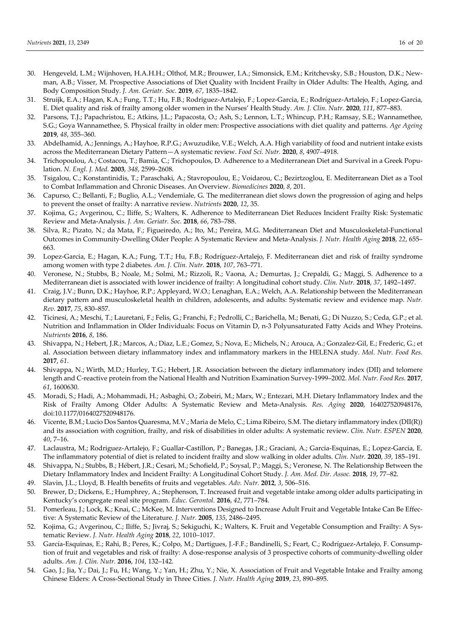- 30. Hengeveld, L.M.; Wijnhoven, H.A.H.H.; Olthof, M.R.; Brouwer, I.A.; Simonsick, E.M.; Kritchevsky, S.B.; Houston, D.K.; Newman, A.B.; Visser, M. Prospective Associations of Diet Quality with Incident Frailty in Older Adults: The Health, Aging, and Body Composition Study. *J. Am. Geriatr. Soc.* **2019**, *67*, 1835–1842.
- 31. Struijk, E.A.; Hagan, K.A.; Fung, T.T.; Hu, F.B.; Rodriguez-Artalejo, F.; Lopez-Garcia, E.; Rodríguez-Artalejo, F.; Lopez-Garcia, E. Diet quality and risk of frailty among older women in the Nurses' Health Study. *Am. J. Clin. Nutr.* **2020**, *111*, 877–883.
- 32. Parsons, T.J.; Papachristou, E.; Atkins, J.L.; Papacosta, O.; Ash, S.; Lennon, L.T.; Whincup, P.H.; Ramsay, S.E.; Wannamethee, S.G.; Goya Wannamethee, S. Physical frailty in older men: Prospective associations with diet quality and patterns. *Age Ageing* **2019**, *48*, 355–360.
- 33. Abdelhamid, A.; Jennings, A.; Hayhoe, R.P.G.; Awuzudike, V.E.; Welch, A.A. High variability of food and nutrient intake exists across the Mediterranean Dietary Pattern—A systematic review. *Food Sci. Nutr.* **2020**, *8*, 4907–4918.
- 34. Trichopoulou, A.; Costacou, T.; Bamia, C.; Trichopoulos, D. Adherence to a Mediterranean Diet and Survival in a Greek Population. *N. Engl. J. Med.* **2003**, *348*, 2599–2608.
- 35. Tsigalou, C.; Konstantinidis, T.; Paraschaki, A.; Stavropoulou, E.; Voidarou, C.; Bezirtzoglou, E. Mediterranean Diet as a Tool to Combat Inflammation and Chronic Diseases. An Overview. *Biomedicines* **2020**, *8*, 201.
- 36. Capurso, C.; Bellanti, F.; Buglio, A.L.; Vendemiale, G. The mediterranean diet slows down the progression of aging and helps to prevent the onset of frailty: A narrative review. *Nutrients* **2020**, *12*, 35.
- 37. Kojima, G.; Avgerinou, C.; Iliffe, S.; Walters, K. Adherence to Mediterranean Diet Reduces Incident Frailty Risk: Systematic Review and Meta-Analysis. *J. Am. Geriatr. Soc.* **2018**, *66*, 783–788.
- 38. Silva, R.; Pizato, N.; da Mata, F.; Figueiredo, A.; Ito, M.; Pereira, M.G. Mediterranean Diet and Musculoskeletal-Functional Outcomes in Community-Dwelling Older People: A Systematic Review and Meta-Analysis. *J. Nutr. Health Aging* **2018**, *22*, 655– 663.
- 39. Lopez-Garcia, E.; Hagan, K.A.; Fung, T.T.; Hu, F.B.; Rodríguez-Artalejo, F. Mediterranean diet and risk of frailty syndrome among women with type 2 diabetes. *Am. J. Clin. Nutr.* **2018**, *107*, 763–771.
- 40. Veronese, N.; Stubbs, B.; Noale, M.; Solmi, M.; Rizzoli, R.; Vaona, A.; Demurtas, J.; Crepaldi, G.; Maggi, S. Adherence to a Mediterranean diet is associated with lower incidence of frailty: A longitudinal cohort study. *Clin. Nutr.* **2018**, *37*, 1492–1497.
- 41. Craig, J.V.; Bunn, D.K.; Hayhoe, R.P.; Appleyard, W.O.; Lenaghan, E.A.; Welch, A.A. Relationship between the Mediterranean dietary pattern and musculoskeletal health in children, adolescents, and adults: Systematic review and evidence map. *Nutr. Rev.* **2017**, *75*, 830–857.
- 42. Ticinesi, A.; Meschi, T.; Lauretani, F.; Felis, G.; Franchi, F.; Pedrolli, C.; Barichella, M.; Benati, G.; Di Nuzzo, S.; Ceda, G.P.; et al. Nutrition and Inflammation in Older Individuals: Focus on Vitamin D, n-3 Polyunsaturated Fatty Acids and Whey Proteins. *Nutrients* **2016**, *8*, 186.
- 43. Shivappa, N.; Hebert, J.R.; Marcos, A.; Diaz, L.E.; Gomez, S.; Nova, E.; Michels, N.; Arouca, A.; Gonzalez-Gil, E.; Frederic, G.; et al. Association between dietary inflammatory index and inflammatory markers in the HELENA study. *Mol. Nutr. Food Res.* **2017**, *61*.
- 44. Shivappa, N.; Wirth, M.D.; Hurley, T.G.; Hebert, J.R. Association between the dietary inflammatory index (DII) and telomere length and C-reactive protein from the National Health and Nutrition Examination Survey-1999–2002. *Mol. Nutr. Food Res.* **2017**, *61*, 1600630.
- 45. Moradi, S.; Hadi, A.; Mohammadi, H.; Asbaghi, O.; Zobeiri, M.; Marx, W.; Entezari, M.H. Dietary Inflammatory Index and the Risk of Frailty Among Older Adults: A Systematic Review and Meta-Analysis. *Res. Aging* **2020**, 164027520948176, doi:10.1177/0164027520948176.
- 46. Vicente, B.M.; Lucio Dos Santos Quaresma, M.V.; Maria de Melo, C.; Lima Ribeiro, S.M. The dietary inflammatory index (DII(R)) and its association with cognition, frailty, and risk of disabilities in older adults: A systematic review. *Clin. Nutr. ESPEN* **2020**, *40*, 7–16.
- 47. Laclaustra, M.; Rodriguez-Artalejo, F.; Guallar-Castillon, P.; Banegas, J.R.; Graciani, A.; Garcia-Esquinas, E.; Lopez-Garcia, E. The inflammatory potential of diet is related to incident frailty and slow walking in older adults. *Clin. Nutr.* **2020**, *39*, 185–191.
- 48. Shivappa, N.; Stubbs, B.; Hébert, J.R.; Cesari, M.; Schofield, P.; Soysal, P.; Maggi, S.; Veronese, N. The Relationship Between the Dietary Inflammatory Index and Incident Frailty: A Longitudinal Cohort Study. *J. Am. Med. Dir. Assoc.* **2018**, *19*, 77–82.
- 49. Slavin, J.L.; Lloyd, B. Health benefits of fruits and vegetables. *Adv. Nutr.* **2012**, *3*, 506–516.
- 50. Brewer, D.; Dickens, E.; Humphrey, A.; Stephenson, T. Increased fruit and vegetable intake among older adults participating in Kentucky's congregate meal site program. *Educ. Gerontol.* **2016**, *42*, 771–784.
- 51. Pomerleau, J.; Lock, K.; Knai, C.; McKee, M. Interventions Designed to Increase Adult Fruit and Vegetable Intake Can Be Effective: A Systematic Review of the Literature. *J. Nutr.* **2005**, *135*, 2486–2495.
- 52. Kojima, G.; Avgerinou, C.; Iliffe, S.; Jivraj, S.; Sekiguchi, K.; Walters, K. Fruit and Vegetable Consumption and Frailty: A Systematic Review. *J. Nutr. Health Aging* **2018**, *22*, 1010–1017.
- 53. García-Esquinas, E.; Rahi, B.; Peres, K.; Colpo, M.; Dartigues, J.-F.F.; Bandinelli, S.; Feart, C.; Rodríguez-Artalejo, F. Consumption of fruit and vegetables and risk of frailty: A dose-response analysis of 3 prospective cohorts of community-dwelling older adults. *Am. J. Clin. Nutr.* **2016**, *104*, 132–142.
- 54. Gao, J.; Jia, Y.; Dai, J.; Fu, H.; Wang, Y.; Yan, H.; Zhu, Y.; Nie, X. Association of Fruit and Vegetable Intake and Frailty among Chinese Elders: A Cross-Sectional Study in Three Cities. *J. Nutr. Health Aging* **2019**, *23*, 890–895.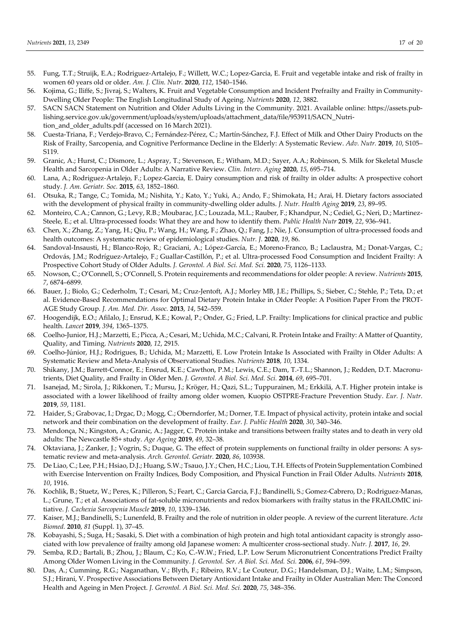- 55. Fung, T.T.; Struijk, E.A.; Rodriguez-Artalejo, F.; Willett, W.C.; Lopez-Garcia, E. Fruit and vegetable intake and risk of frailty in women 60 years old or older. *Am. J. Clin. Nutr.* **2020**, *112*, 1540–1546.
- 56. Kojima, G.; Iliffe, S.; Jivraj, S.; Walters, K. Fruit and Vegetable Consumption and Incident Prefrailty and Frailty in Community-Dwelling Older People: The English Longitudinal Study of Ageing. *Nutrients* **2020**, *12*, 3882.
- 57. SACN SACN Statement on Nutrition and Older Adults Living in the Community. 2021. Available online: https://assets.publishing.service.gov.uk/government/uploads/system/uploads/attachment\_data/file/953911/SACN\_Nutrition\_and\_older\_adults.pdf (accessed on 16 March 2021).
- 58. Cuesta-Triana, F.; Verdejo-Bravo, C.; Fernández-Pérez, C.; Martín-Sánchez, F.J. Effect of Milk and Other Dairy Products on the Risk of Frailty, Sarcopenia, and Cognitive Performance Decline in the Elderly: A Systematic Review. *Adv. Nutr.* **2019**, *10*, S105– S119.
- 59. Granic, A.; Hurst, C.; Dismore, L.; Aspray, T.; Stevenson, E.; Witham, M.D.; Sayer, A.A.; Robinson, S. Milk for Skeletal Muscle Health and Sarcopenia in Older Adults: A Narrative Review. *Clin. Interv. Aging* **2020**, *15*, 695–714.
- 60. Lana, A.; Rodriguez-Artalejo, F.; Lopez-Garcia, E. Dairy consumption and risk of frailty in older adults: A prospective cohort study. *J. Am. Geriatr. Soc.* **2015**, *63*, 1852–1860.
- 61. Otsuka, R.; Tange, C.; Tomida, M.; Nishita, Y.; Kato, Y.; Yuki, A.; Ando, F.; Shimokata, H.; Arai, H. Dietary factors associated with the development of physical frailty in community-dwelling older adults. *J. Nutr. Health Aging* **2019**, *23*, 89–95.
- 62. Monteiro, C.A.; Cannon, G.; Levy, R.B.; Moubarac, J.C.; Louzada, M.L.; Rauber, F.; Khandpur, N.; Cediel, G.; Neri, D.; Martinez-Steele, E.; et al. Ultra-processed foods: What they are and how to identify them. *Public Health Nutr* **2019**, *22*, 936–941.
- 63. Chen, X.; Zhang, Z.; Yang, H.; Qiu, P.; Wang, H.; Wang, F.; Zhao, Q.; Fang, J.; Nie, J. Consumption of ultra-processed foods and health outcomes: A systematic review of epidemiological studies. *Nutr. J.* **2020**, *19*, 86.
- 64. Sandoval-Insausti, H.; Blanco-Rojo, R.; Graciani, A.; López-García, E.; Moreno-Franco, B.; Laclaustra, M.; Donat-Vargas, C.; Ordovás, J.M.; Rodríguez-Artalejo, F.; Guallar-Castillón, P.; et al. Ultra-processed Food Consumption and Incident Frailty: A Prospective Cohort Study of Older Adults. *J. Gerontol. A Biol. Sci. Med. Sci.* **2020**, *75*, 1126–1133.
- 65. Nowson, C.; O'Connell, S.; O'Connell, S. Protein requirements and recommendations for older people: A review. *Nutrients* **2015**, *7*, 6874–6899.
- 66. Bauer, J.; Biolo, G.; Cederholm, T.; Cesari, M.; Cruz-Jentoft, A.J.; Morley MB, J.E.; Phillips, S.; Sieber, C.; Stehle, P.; Teta, D.; et al. Evidence-Based Recommendations for Optimal Dietary Protein Intake in Older People: A Position Paper From the PROT-AGE Study Group. *J. Am. Med. Dir. Assoc.* **2013**, *14*, 542–559.
- 67. Hoogendijk, E.O.; Afilalo, J.; Ensrud, K.E.; Kowal, P.; Onder, G.; Fried, L.P. Frailty: Implications for clinical practice and public health. *Lancet* **2019**, *394*, 1365–1375.
- 68. Coelho-Junior, H.J.; Marzetti, E.; Picca, A.; Cesari, M.; Uchida, M.C.; Calvani, R. Protein Intake and Frailty: A Matter of Quantity, Quality, and Timing. *Nutrients* **2020**, *12*, 2915.
- 69. Coelho-Júnior, H.J.; Rodrigues, B.; Uchida, M.; Marzetti, E. Low Protein Intake Is Associated with Frailty in Older Adults: A Systematic Review and Meta-Analysis of Observational Studies. *Nutrients* **2018**, *10*, 1334.
- 70. Shikany, J.M.; Barrett-Connor, E.; Ensrud, K.E.; Cawthon, P.M.; Lewis, C.E.; Dam, T.-T.L.; Shannon, J.; Redden, D.T. Macronutrients, Diet Quality, and Frailty in Older Men. *J. Gerontol. A Biol. Sci. Med. Sci.* **2014**, *69*, 695–701.
- 71. Isanejad, M.; Sirola, J.; Rikkonen, T.; Mursu, J.; Kröger, H.; Qazi, S.L.; Tuppurainen, M.; Erkkilä, A.T. Higher protein intake is associated with a lower likelihood of frailty among older women, Kuopio OSTPRE-Fracture Prevention Study. *Eur. J. Nutr.* **2019**, *59*, 1181.
- 72. Haider, S.; Grabovac, I.; Drgac, D.; Mogg, C.; Oberndorfer, M.; Dorner, T.E. Impact of physical activity, protein intake and social network and their combination on the development of frailty. *Eur. J. Public Health* **2020**, *30*, 340–346.
- 73. Mendonça, N.; Kingston, A.; Granic, A.; Jagger, C. Protein intake and transitions between frailty states and to death in very old adults: The Newcastle 85+ study. *Age Ageing* **2019**, *49*, 32–38.
- 74. Oktaviana, J.; Zanker, J.; Vogrin, S.; Duque, G. The effect of protein supplements on functional frailty in older persons: A systematic review and meta-analysis. *Arch. Gerontol. Geriatr.* **2020**, *86*, 103938.
- 75. De Liao, C.; Lee, P.H.; Hsiao, D.J.; Huang, S.W.; Tsauo, J.Y.; Chen, H.C.; Liou, T.H. Effects of Protein Supplementation Combined with Exercise Intervention on Frailty Indices, Body Composition, and Physical Function in Frail Older Adults. *Nutrients* **2018**, *10*, 1916.
- 76. Kochlik, B.; Stuetz, W.; Peres, K.; Pilleron, S.; Feart, C.; Garcia Garcia, F.J.; Bandinelli, S.; Gomez-Cabrero, D.; Rodriguez-Manas, L.; Grune, T.; et al. Associations of fat-soluble micronutrients and redox biomarkers with frailty status in the FRAILOMIC initiative. *J. Cachexia Sarcopenia Muscle* **2019**, *10*, 1339–1346.
- 77. Kaiser, M.J.; Bandinelli, S.; Lunenfeld, B. Frailty and the role of nutrition in older people. A review of the current literature. *Acta Biomed.* **2010**, *81* (Suppl. 1), 37–45.
- 78. Kobayashi, S.; Suga, H.; Sasaki, S. Diet with a combination of high protein and high total antioxidant capacity is strongly associated with low prevalence of frailty among old Japanese women: A multicenter cross-sectional study. *Nutr. J.* **2017**, *16*, 29.
- 79. Semba, R.D.; Bartali, B.; Zhou, J.; Blaum, C.; Ko, C.-W.W.; Fried, L.P. Low Serum Micronutrient Concentrations Predict Frailty Among Older Women Living in the Community. *J. Gerontol. Ser. A Biol. Sci. Med. Sci.* **2006**, *61*, 594–599.
- 80. Das, A.; Cumming, R.G.; Naganathan, V.; Blyth, F.; Ribeiro, R.V.; Le Couteur, D.G.; Handelsman, D.J.; Waite, L.M.; Simpson, S.J.; Hirani, V. Prospective Associations Between Dietary Antioxidant Intake and Frailty in Older Australian Men: The Concord Health and Ageing in Men Project. *J. Gerontol. A Biol. Sci. Med. Sci.* **2020**, *75*, 348–356.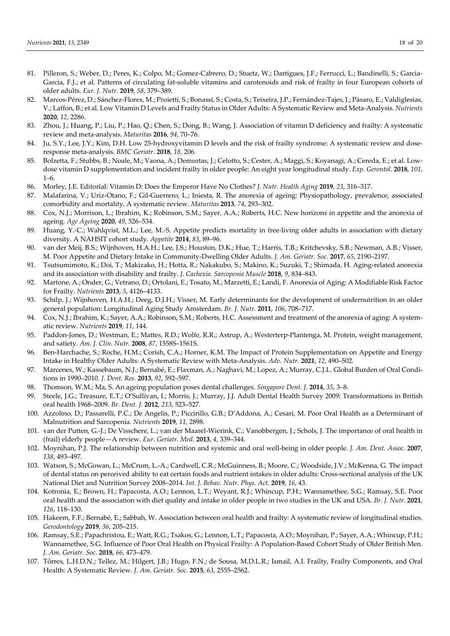- 81. Pilleron, S.; Weber, D.; Peres, K.; Colpo, M.; Gomez-Cabrero, D.; Stuetz, W.; Dartigues, J.F.; Ferrucci, L.; Bandinelli, S.; Garcia-Garcia, F.J.; et al. Patterns of circulating fat-soluble vitamins and carotenoids and risk of frailty in four European cohorts of older adults. *Eur. J. Nutr.* **2019**, *58*, 379–389.
- 82. Marcos-Pérez, D.; Sánchez-Flores, M.; Proietti, S.; Bonassi, S.; Costa, S.; Teixeira, J.P.; Fernández-Tajes, J.; Pásaro, E.; Valdiglesias, V.; Laffon, B.; et al. Low Vitamin D Levels and Frailty Status in Older Adults: A Systematic Review and Meta-Analysis. *Nutrients* **2020**, *12*, 2286.
- 83. Zhou, J.; Huang, P.; Liu, P.; Hao, Q.; Chen, S.; Dong, B.; Wang, J. Association of vitamin D deficiency and frailty: A systematic review and meta-analysis. *Maturitas* **2016**, *94*, 70–76.
- 84. Ju, S.Y.; Lee, J.Y.; Kim, D.H. Low 25-hydroxyvitamin D levels and the risk of frailty syndrome: A systematic review and doseresponse meta-analysis. *BMC Geriatr.* **2018**, *18*, 206.
- 85. Bolzetta, F.; Stubbs, B.; Noale, M.; Vaona, A.; Demurtas, J.; Celotto, S.; Cester, A.; Maggi, S.; Koyanagi, A.; Cereda, E.; et al. Lowdose vitamin D supplementation and incident frailty in older people: An eight year longitudinal study. *Exp. Gerontol.* **2018**, *101*,  $1 - 6$
- 86. Morley, J.E. Editorial: Vitamin D: Does the Emperor Have No Clothes? *J. Nutr. Health Aging* **2019**, *23*, 316–317.
- 87. Malafarina, V.; Uriz-Otano, F.; Gil-Guerrero, L.; Iniesta, R. The anorexia of ageing: Physiopathology, prevalence, associated comorbidity and mortality. A systematic review. *Maturitas* **2013**, *74*, 293–302.
- 88. Cox, N.J.; Morrison, L.; Ibrahim, K.; Robinson, S.M.; Sayer, A.A.; Roberts, H.C. New horizons in appetite and the anorexia of ageing. *Age Ageing* **2020**, *49*, 526–534.
- 89. Huang, Y.-C.; Wahlqvist, M.L.; Lee, M.-S. Appetite predicts mortality in free-living older adults in association with dietary diversity. A NAHSIT cohort study. *Appetite* **2014**, *83*, 89–96.
- 90. van der Meij, B.S.; Wijnhoven, H.A.H.; Lee, J.S.; Houston, D.K.; Hue, T.; Harris, T.B.; Kritchevsky, S.B.; Newman, A.B.; Visser, M. Poor Appetite and Dietary Intake in Community-Dwelling Older Adults. *J. Am. Geriatr. Soc.* **2017**, *65*, 2190–2197.
- 91. Tsutsumimoto, K.; Doi, T.; Makizako, H.; Hotta, R.; Nakakubo, S.; Makino, K.; Suzuki, T.; Shimada, H. Aging-related anorexia and its association with disability and frailty. *J. Cachexia. Sarcopenia Muscle* **2018**, *9*, 834–843.
- 92. Martone, A.; Onder, G.; Vetrano, D.; Ortolani, E.; Tosato, M.; Marzetti, E.; Landi, F. Anorexia of Aging: A Modifiable Risk Factor for Frailty. *Nutrients* **2013**, *5*, 4126–4133.
- 93. Schilp, J.; Wijnhoven, H.A.H.; Deeg, D.J.H.; Visser, M. Early determinants for the development of undernutrition in an older general population: Longitudinal Aging Study Amsterdam. *Br. J. Nutr.* **2011**, *106*, 708–717.
- 94. Cox, N.J.; Ibrahim, K.; Sayer, A.A.; Robinson, S.M.; Roberts, H.C. Assessment and treatment of the anorexia of aging: A systematic review. *Nutrients* **2019**, *11*, 144.
- 95. Paddon-Jones, D.; Westman, E.; Mattes, R.D.; Wolfe, R.R.; Astrup, A.; Westerterp-Plantenga, M. Protein, weight management, and satiety. *Am. J. Clin. Nutr.* **2008**, *87*, 1558S–1561S.
- 96. Ben-Harchache, S.; Roche, H.M.; Corish, C.A.; Horner, K.M. The Impact of Protein Supplementation on Appetite and Energy Intake in Healthy Older Adults: A Systematic Review with Meta-Analysis. *Adv. Nutr.* **2021**, *12*, 490–502.
- 97. Marcenes, W.; Kassebaum, N.J.; Bernabé, E.; Flaxman, A.; Naghavi, M.; Lopez, A.; Murray, C.J.L. Global Burden of Oral Conditions in 1990–2010. *J. Dent. Res.* **2013**, *92*, 592–597.
- 98. Thomson, W.M.; Ma, S. An ageing population poses dental challenges. *Singapore Dent. J.* **2014**, *35*, 3–8.
- 99. Steele, J.G.; Treasure, E.T.; O'Sullivan, I.; Morris, J.; Murray, J.J. Adult Dental Health Survey 2009: Transformations in British oral health 1968–2009. *Br. Dent. J.* **2012**, *213*, 523–527.
- 100. Azzolino, D.; Passarelli, P.C.; De Angelis, P.; Piccirillo, G.B.; D'Addona, A.; Cesari, M. Poor Oral Health as a Determinant of Malnutrition and Sarcopenia. *Nutrients* **2019**, *11*, 2898.
- 101. van der Putten, G.-J.; De Visschere, L.; van der Maarel-Wierink, C.; Vanobbergen, J.; Schols, J. The importance of oral health in (frail) elderly people—A review. *Eur. Geriatr. Med.* **2013**, *4*, 339–344.
- 102. Moynihan, P.J. The relationship between nutrition and systemic and oral well-being in older people. *J. Am. Dent. Assoc.* **2007**, *138*, 493–497.
- 103. Watson, S.; McGowan, L.; McCrum, L.-A.; Cardwell, C.R.; McGuinness, B.; Moore, C.; Woodside, J.V.; McKenna, G. The impact of dental status on perceived ability to eat certain foods and nutrient intakes in older adults: Cross-sectional analysis of the UK National Diet and Nutrition Survey 2008–2014. *Int. J. Behav. Nutr. Phys. Act.* **2019**, *16*, 43.
- 104. Kotronia, E.; Brown, H.; Papacosta, A.O.; Lennon, L.T.; Weyant, R.J.; Whincup, P.H.; Wannamethee, S.G.; Ramsay, S.E. Poor oral health and the association with diet quality and intake in older people in two studies in the UK and USA. *Br. J. Nutr.* **2021**, *126*, 118–130.
- 105. Hakeem, F.F.; Bernabé, E.; Sabbah, W. Association between oral health and frailty: A systematic review of longitudinal studies. *Gerodontology* **2019**, *36*, 205–215.
- 106. Ramsay, S.E.; Papachristou, E.; Watt, R.G.; Tsakos, G.; Lennon, L.T.; Papacosta, A.O.; Moynihan, P.; Sayer, A.A.; Whincup, P.H.; Wannamethee, S.G. Influence of Poor Oral Health on Physical Frailty: A Population-Based Cohort Study of Older British Men. *J. Am. Geriatr. Soc.* **2018**, *66*, 473–479.
- 107. Tôrres, L.H.D.N.; Tellez, M.; Hilgert, J.B.; Hugo, F.N.; de Sousa, M.D.L.R.; Ismail, A.I. Frailty, Frailty Components, and Oral Health: A Systematic Review. *J. Am. Geriatr. Soc.* **2015**, *63*, 2555–2562.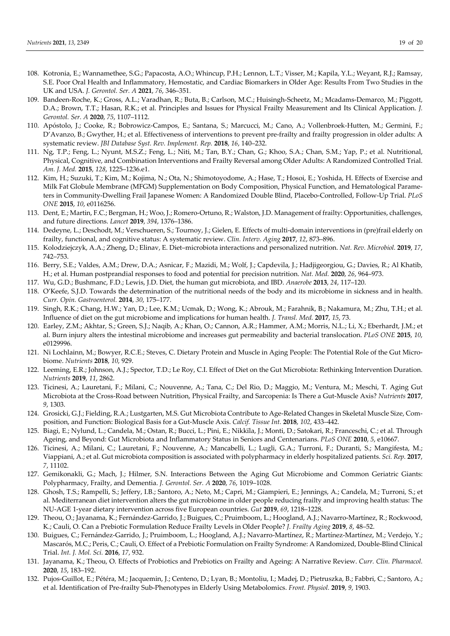- 108. Kotronia, E.; Wannamethee, S.G.; Papacosta, A.O.; Whincup, P.H.; Lennon, L.T.; Visser, M.; Kapila, Y.L.; Weyant, R.J.; Ramsay, S.E. Poor Oral Health and Inflammatory, Hemostatic, and Cardiac Biomarkers in Older Age: Results From Two Studies in the UK and USA. *J. Gerontol. Ser. A* **2021**, *76*, 346–351.
- 109. Bandeen-Roche, K.; Gross, A.L.; Varadhan, R.; Buta, B.; Carlson, M.C.; Huisingh-Scheetz, M.; Mcadams-Demarco, M.; Piggott, D.A.; Brown, T.T.; Hasan, R.K.; et al. Principles and Issues for Physical Frailty Measurement and Its Clinical Application. *J. Gerontol. Ser. A* **2020**, *75*, 1107–1112.
- 110. Apóstolo, J.; Cooke, R.; Bobrowicz-Campos, E.; Santana, S.; Marcucci, M.; Cano, A.; Vollenbroek-Hutten, M.; Germini, F.; D'Avanzo, B.; Gwyther, H.; et al. Effectiveness of interventions to prevent pre-frailty and frailty progression in older adults: A systematic review. *JBI Database Syst. Rev. Implement. Rep.* **2018**, *16*, 140–232.
- 111. Ng, T.P.; Feng, L.; Nyunt, M.S.Z.; Feng, L.; Niti, M.; Tan, B.Y.; Chan, G.; Khoo, S.A.; Chan, S.M.; Yap, P.; et al. Nutritional, Physical, Cognitive, and Combination Interventions and Frailty Reversal among Older Adults: A Randomized Controlled Trial. *Am. J. Med.* **2015**, *128*, 1225–1236.e1.
- 112. Kim, H.; Suzuki, T.; Kim, M.; Kojima, N.; Ota, N.; Shimotoyodome, A.; Hase, T.; Hosoi, E.; Yoshida, H. Effects of Exercise and Milk Fat Globule Membrane (MFGM) Supplementation on Body Composition, Physical Function, and Hematological Parameters in Community-Dwelling Frail Japanese Women: A Randomized Double Blind, Placebo-Controlled, Follow-Up Trial. *PLoS ONE* **2015**, *10*, e0116256.
- 113. Dent, E.; Martin, F.C.; Bergman, H.; Woo, J.; Romero-Ortuno, R.; Walston, J.D. Management of frailty: Opportunities, challenges, and future directions. *Lancet* **2019**, *394*, 1376–1386.
- 114. Dedeyne, L.; Deschodt, M.; Verschueren, S.; Tournoy, J.; Gielen, E. Effects of multi-domain interventions in (pre)frail elderly on frailty, functional, and cognitive status: A systematic review. *Clin. Interv. Aging* **2017**, *12*, 873–896.
- 115. Kolodziejczyk, A.A.; Zheng, D.; Elinav, E. Diet–microbiota interactions and personalized nutrition. *Nat. Rev. Microbiol.* **2019**, *17*, 742–753.
- 116. Berry, S.E.; Valdes, A.M.; Drew, D.A.; Asnicar, F.; Mazidi, M.; Wolf, J.; Capdevila, J.; Hadjigeorgiou, G.; Davies, R.; Al Khatib, H.; et al. Human postprandial responses to food and potential for precision nutrition. *Nat. Med.* **2020**, *26*, 964–973.
- 117. Wu, G.D.; Bushmanc, F.D.; Lewis, J.D. Diet, the human gut microbiota, and IBD. *Anaerobe* **2013**, *24*, 117–120.
- 118. O'Keefe, S.J.D. Towards the determination of the nutritional needs of the body and its microbiome in sickness and in health. *Curr. Opin. Gastroenterol.* **2014**, *30*, 175–177.
- 119. Singh, R.K.; Chang, H.W.; Yan, D.; Lee, K.M.; Ucmak, D.; Wong, K.; Abrouk, M.; Farahnik, B.; Nakamura, M.; Zhu, T.H.; et al. Influence of diet on the gut microbiome and implications for human health. *J. Transl. Med.* **2017**, *15*, 73.
- 120. Earley, Z.M.; Akhtar, S.; Green, S.J.; Naqib, A.; Khan, O.; Cannon, A.R.; Hammer, A.M.; Morris, N.L.; Li, X.; Eberhardt, J.M.; et al. Burn injury alters the intestinal microbiome and increases gut permeability and bacterial translocation. *PLoS ONE* **2015**, *10*, e0129996.
- 121. Ni Lochlainn, M.; Bowyer, R.C.E.; Steves, C. Dietary Protein and Muscle in Aging People: The Potential Role of the Gut Microbiome. *Nutrients* **2018**, *10*, 929.
- 122. Leeming, E.R.; Johnson, A.J.; Spector, T.D.; Le Roy, C.I. Effect of Diet on the Gut Microbiota: Rethinking Intervention Duration. *Nutrients* **2019**, *11*, 2862.
- 123. Ticinesi, A.; Lauretani, F.; Milani, C.; Nouvenne, A.; Tana, C.; Del Rio, D.; Maggio, M.; Ventura, M.; Meschi, T. Aging Gut Microbiota at the Cross-Road between Nutrition, Physical Frailty, and Sarcopenia: Is There a Gut-Muscle Axis? *Nutrients* **2017**, *9*, 1303.
- 124. Grosicki, G.J.; Fielding, R.A.; Lustgarten, M.S. Gut Microbiota Contribute to Age-Related Changes in Skeletal Muscle Size, Composition, and Function: Biological Basis for a Gut-Muscle Axis. *Calcif. Tissue Int.* **2018**, *102*, 433–442.
- 125. Biagi, E.; Nylund, L.; Candela, M.; Ostan, R.; Bucci, L.; Pini, E.; Nikkïla, J.; Monti, D.; Satokari, R.; Franceschi, C.; et al. Through Ageing, and Beyond: Gut Microbiota and Inflammatory Status in Seniors and Centenarians. *PLoS ONE* **2010**, *5*, e10667.
- 126. Ticinesi, A.; Milani, C.; Lauretani, F.; Nouvenne, A.; Mancabelli, L.; Lugli, G.A.; Turroni, F.; Duranti, S.; Mangifesta, M.; Viappiani, A.; et al. Gut microbiota composition is associated with polypharmacy in elderly hospitalized patients. *Sci. Rep.* **2017**, *7*, 11102.
- 127. Gemikonakli, G.; Mach, J.; Hilmer, S.N. Interactions Between the Aging Gut Microbiome and Common Geriatric Giants: Polypharmacy, Frailty, and Dementia. *J. Gerontol. Ser. A* **2020**, *76*, 1019–1028.
- 128. Ghosh, T.S.; Rampelli, S.; Jeffery, I.B.; Santoro, A.; Neto, M.; Capri, M.; Giampieri, E.; Jennings, A.; Candela, M.; Turroni, S.; et al. Mediterranean diet intervention alters the gut microbiome in older people reducing frailty and improving health status: The NU-AGE 1-year dietary intervention across five European countries. *Gut* **2019**, *69*, 1218–1228.
- 129. Theou, O.; Jayanama, K.; Fernández-Garrido, J.; Buigues, C.; Pruimboom, L.; Hoogland, A.J.; Navarro-Martínez, R.; Rockwood, K.; Cauli, O. Can a Prebiotic Formulation Reduce Frailty Levels in Older People? *J. Frailty Aging* **2019**, *8*, 48–52.
- 130. Buigues, C.; Fernández-Garrido, J.; Pruimboom, L.; Hoogland, A.J.; Navarro-Martínez, R.; Martínez-Martínez, M.; Verdejo, Y.; Mascarós, M.C.; Peris, C.; Cauli, O. Effect of a Prebiotic Formulation on Frailty Syndrome: A Randomized, Double-Blind Clinical Trial. *Int. J. Mol. Sci.* **2016**, *17*, 932.
- 131. Jayanama, K.; Theou, O. Effects of Probiotics and Prebiotics on Frailty and Ageing: A Narrative Review. *Curr. Clin. Pharmacol.* **2020**, *15*, 183–192.
- 132. Pujos-Guillot, E.; Pétéra, M.; Jacquemin, J.; Centeno, D.; Lyan, B.; Montoliu, I.; Madej, D.; Pietruszka, B.; Fabbri, C.; Santoro, A.; et al. Identification of Pre-frailty Sub-Phenotypes in Elderly Using Metabolomics. *Front. Physiol.* **2019**, *9*, 1903.